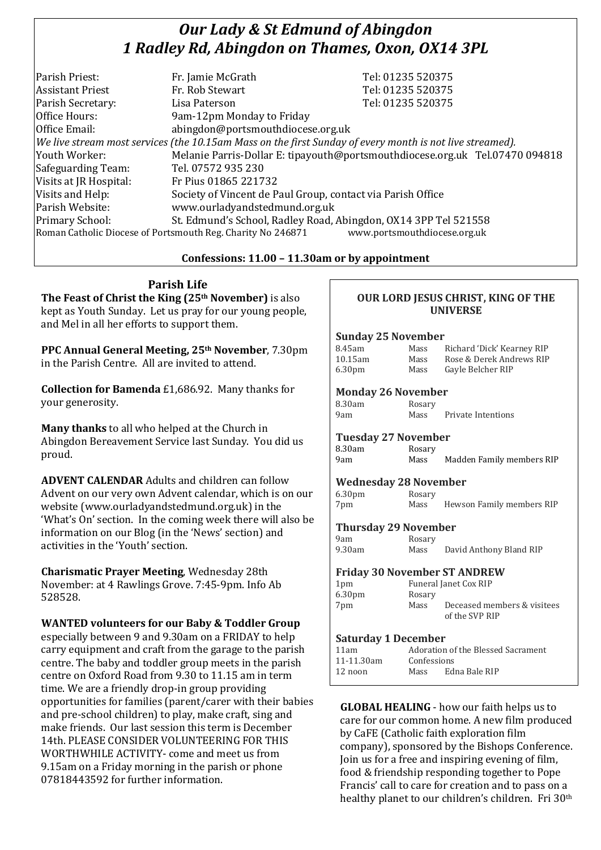# *Our Lady & St Edmund of Abingdon 1 Radley Rd, Abingdon on Thames, Oxon, OX14 3PL*

| Parish Priest:          | Fr. Jamie McGrath                                                                                        | Tel: 01235 520375                                                            |
|-------------------------|----------------------------------------------------------------------------------------------------------|------------------------------------------------------------------------------|
| <b>Assistant Priest</b> | Fr. Rob Stewart                                                                                          | Tel: 01235 520375                                                            |
| Parish Secretary:       | Lisa Paterson                                                                                            | Tel: 01235 520375                                                            |
| Office Hours:           | 9am-12pm Monday to Friday                                                                                |                                                                              |
| Office Email:           | abingdon@portsmouthdiocese.org.uk                                                                        |                                                                              |
|                         | We live stream most services (the 10.15am Mass on the first Sunday of every month is not live streamed). |                                                                              |
| Youth Worker:           |                                                                                                          | Melanie Parris-Dollar E: tipayouth@portsmouthdiocese.org.uk Tel.07470 094818 |
| Safeguarding Team:      | Tel. 07572 935 230                                                                                       |                                                                              |
| Visits at JR Hospital:  | Fr Pius 01865 221732                                                                                     |                                                                              |
| Visits and Help:        | Society of Vincent de Paul Group, contact via Parish Office                                              |                                                                              |
| Parish Website:         | www.ourladyandstedmund.org.uk                                                                            |                                                                              |
| Primary School:         | St. Edmund's School, Radley Road, Abingdon, OX14 3PP Tel 521558                                          |                                                                              |
|                         | Roman Catholic Diocese of Portsmouth Reg. Charity No 246871                                              | www.portsmouthdiocese.org.uk                                                 |
|                         |                                                                                                          |                                                                              |

## **Confessions: 11.00 – 11.30am or by appointment**

**Parish Life The Feast of Christ the King (25th November)** is also kept as Youth Sunday. Let us pray for our young people, and Mel in all her efforts to support them.

**PPC Annual General Meeting, 25th November**, 7.30pm in the Parish Centre. All are invited to attend.

**Collection for Bamenda** £1,686.92. Many thanks for your generosity.

**Many thanks** to all who helped at the Church in Abingdon Bereavement Service last Sunday. You did us proud.

**ADVENT CALENDAR** Adults and children can follow Advent on our very own Advent calendar, which is on our website (www.ourladyandstedmund.org.uk) in the 'What's On' section. In the coming week there will also be information on our Blog (in the 'News' section) and activities in the 'Youth' section.

**Charismatic Prayer Meeting**, Wednesday 28th November: at 4 Rawlings Grove. 7:45-9pm. Info Ab 528528.

**WANTED volunteers for our Baby & Toddler Group**  especially between 9 and 9.30am on a FRIDAY to help carry equipment and craft from the garage to the parish centre. The baby and toddler group meets in the parish centre on Oxford Road from 9.30 to 11.15 am in term time. We are a friendly drop-in group providing opportunities for families (parent/carer with their babies and pre-school children) to play, make craft, sing and make friends. Our last session this term is December 14th. PLEASE CONSIDER VOLUNTEERING FOR THIS WORTHWHILE ACTIVITY- come and meet us from 9.15am on a Friday morning in the parish or phone 07818443592 for further information.

## **OUR LORD JESUS CHRIST, KING OF THE UNIVERSE**

#### **Sunday 25 November**

| 8.45am             | Mass | Richard 'Dick' Kearney RIP |
|--------------------|------|----------------------------|
| 10.15am            | Mass | Rose & Derek Andrews RIP   |
| 6.30 <sub>pm</sub> | Mass | Gayle Belcher RIP          |

## **Monday 26 November**

| 8.30am | Rosary |
|--------|--------|
| 9am    | Mass   |

Private Intentions

## **Tuesday 27 November**

| 8.30am | Rosary |                           |
|--------|--------|---------------------------|
| 9am    | Mass   | Madden Family members RIP |

#### **Wednesday 28 November**

6.30pm Rosary 7pm Mass Hewson Family members RIP

## **Thursday 29 November**

| 9am    | Rosary |                         |
|--------|--------|-------------------------|
| 9.30am | Mass   | David Anthony Bland RIP |

#### **Friday 30 November ST ANDREW**

| 1 <sub>pm</sub>    |        | Funeral Janet Cox RIP                         |
|--------------------|--------|-----------------------------------------------|
| 6.30 <sub>pm</sub> | Rosary |                                               |
| 7pm                | Mass   | Deceased members & visitees<br>of the SVP RIP |

#### **Saturday 1 December**

| 11am       |             | Adoration of the Blessed Sacrament |
|------------|-------------|------------------------------------|
| 11-11.30am | Confessions |                                    |
| $12$ noon  | Mass        | Edna Bale RIP                      |

**GLOBAL HEALING** - how our faith helps us to care for our common home. A new film produced by CaFE (Catholic faith exploration film company), sponsored by the Bishops Conference. Join us for a free and inspiring evening of film, food & friendship responding together to Pope Francis' call to care for creation and to pass on a healthy planet to our children's children. Fri 30th